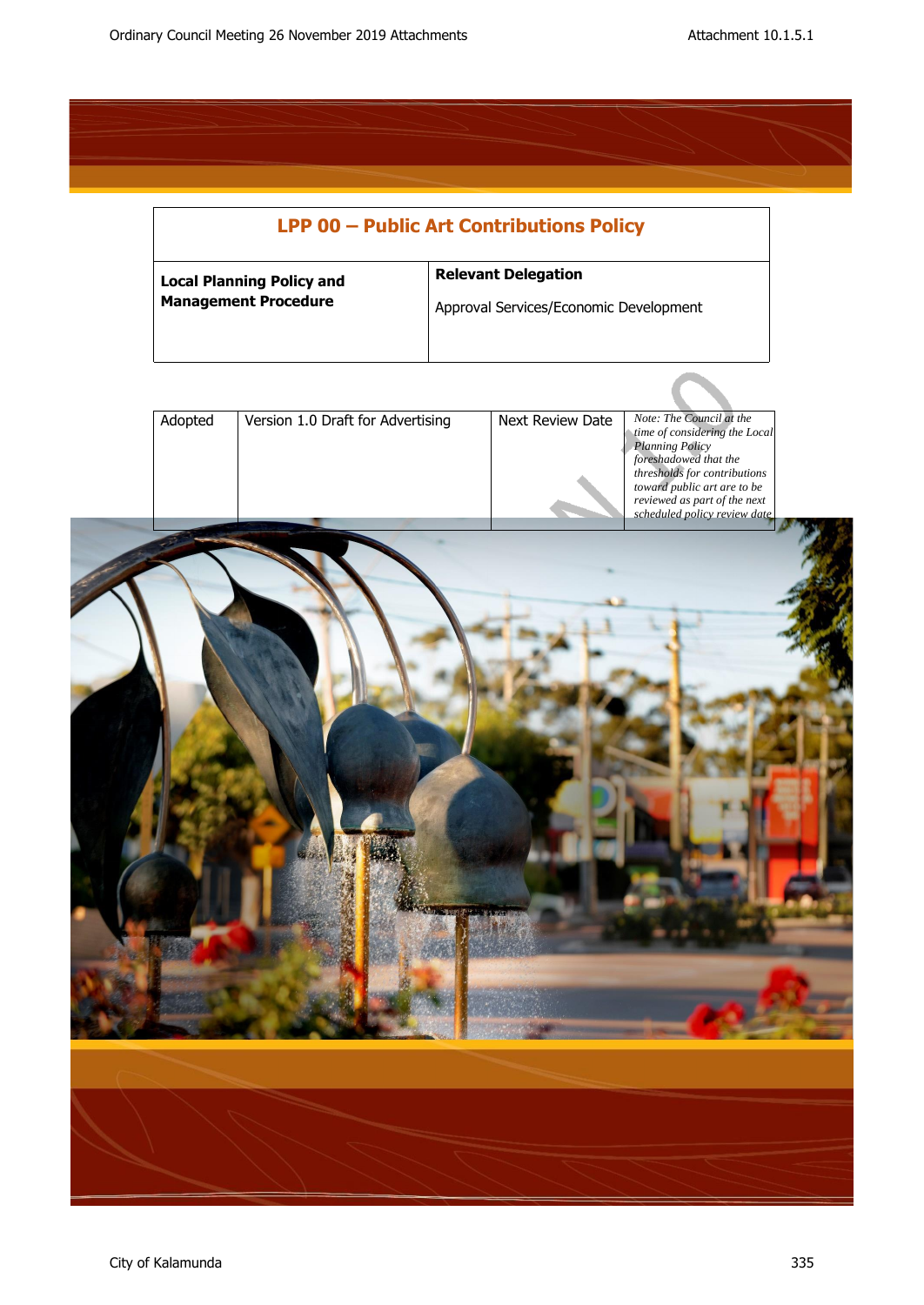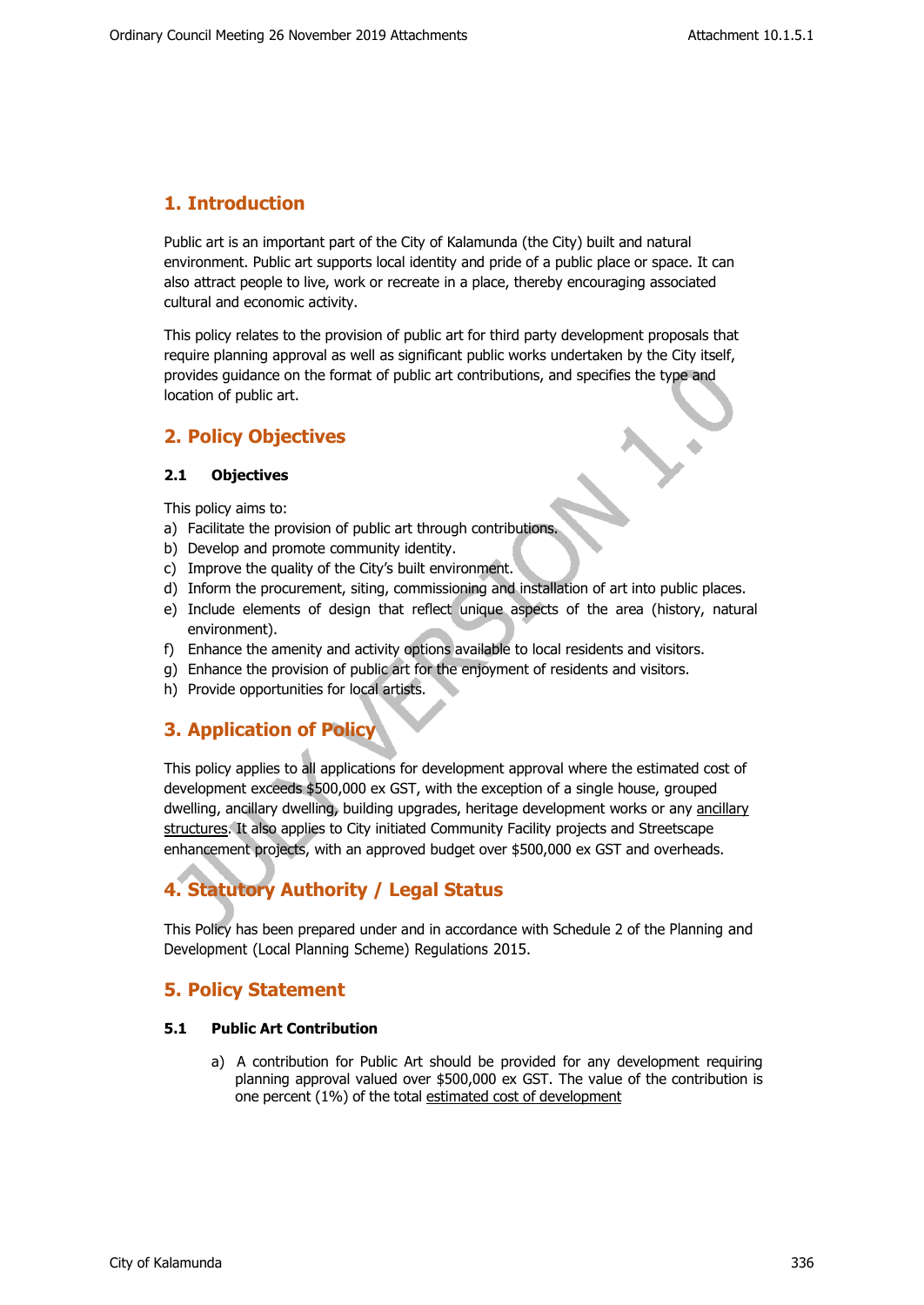# **1. Introduction**

Public art is an important part of the City of Kalamunda (the City) built and natural environment. Public art supports local identity and pride of a public place or space. It can also attract people to live, work or recreate in a place, thereby encouraging associated cultural and economic activity.

This policy relates to the provision of public art for third party development proposals that require planning approval as well as significant public works undertaken by the City itself, provides guidance on the format of public art contributions, and specifies the type and location of public art.

# **2. Policy Objectives**

# **2.1 Objectives**

This policy aims to:

- a) Facilitate the provision of public art through contributions.
- b) Develop and promote community identity.
- c) Improve the quality of the City's built environment.
- d) Inform the procurement, siting, commissioning and installation of art into public places.
- e) Include elements of design that reflect unique aspects of the area (history, natural environment).
- f) Enhance the amenity and activity options available to local residents and visitors.
- g) Enhance the provision of public art for the enjoyment of residents and visitors.
- h) Provide opportunities for local artists.

# **3. Application of Policy**

This policy applies to all applications for development approval where the estimated cost of development exceeds \$500,000 ex GST, with the exception of a single house, grouped dwelling, ancillary dwelling, building upgrades, heritage development works or any ancillary structures. It also applies to City initiated Community Facility projects and Streetscape enhancement projects, with an approved budget over \$500,000 ex GST and overheads.

# **4. Statutory Authority / Legal Status**

This Policy has been prepared under and in accordance with Schedule 2 of the Planning and Development (Local Planning Scheme) Regulations 2015.

# **5. Policy Statement**

#### **5.1 Public Art Contribution**

a) A contribution for Public Art should be provided for any development requiring planning approval valued over \$500,000 ex GST. The value of the contribution is one percent (1%) of the total estimated cost of development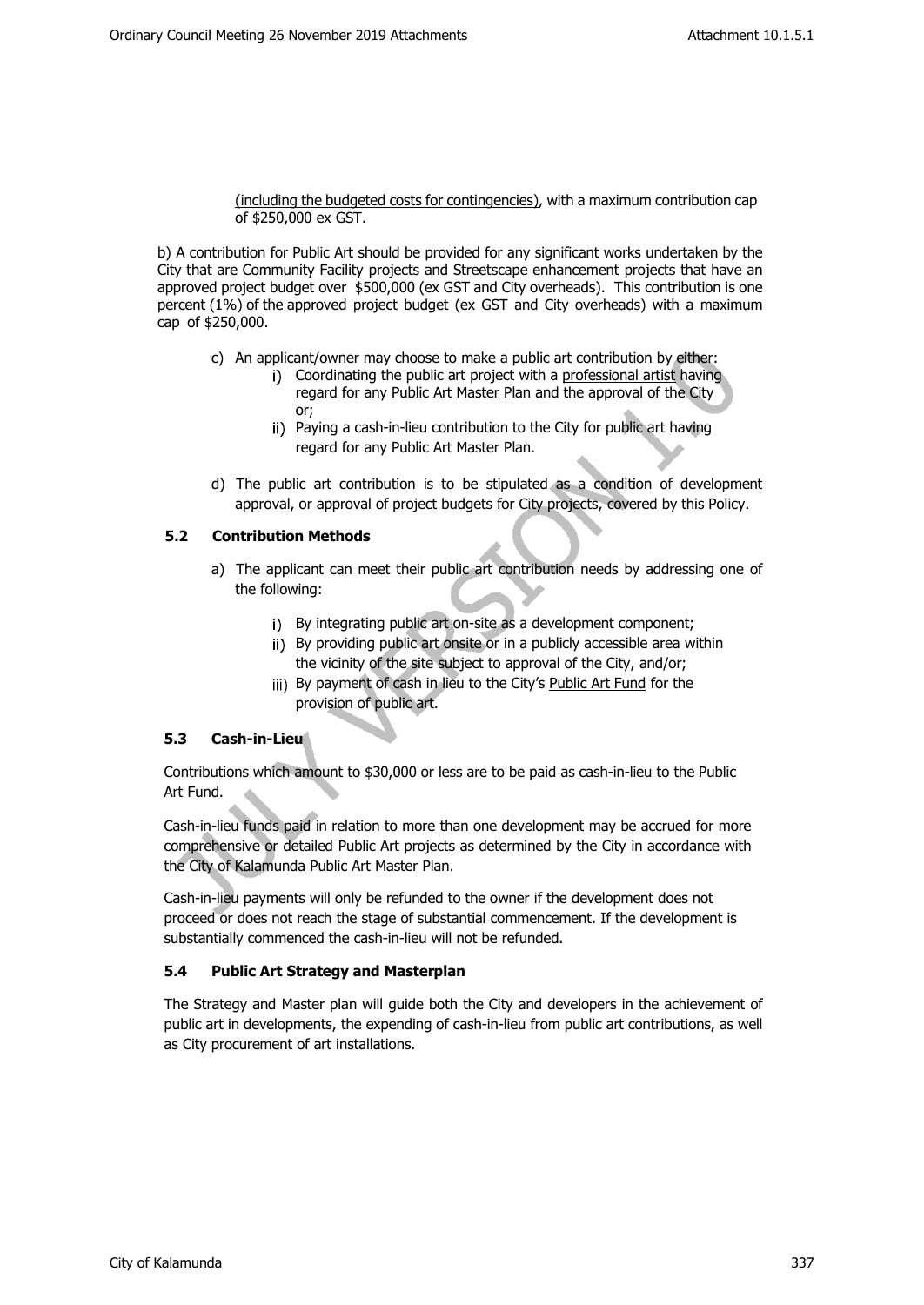(including the budgeted costs for contingencies), with a maximum contribution cap of \$250,000 ex GST.

b) A contribution for Public Art should be provided for any significant works undertaken by the City that are Community Facility projects and Streetscape enhancement projects that have an approved project budget over \$500,000 (ex GST and City overheads). This contribution is one percent (1%) of the approved project budget (ex GST and City overheads) with a maximum cap of \$250,000.

- c) An applicant/owner may choose to make a public art contribution by either:
	- i) Coordinating the public art project with a professional artist having regard for any Public Art Master Plan and the approval of the City or;
	- ii) Paying a cash-in-lieu contribution to the City for public art having regard for any Public Art Master Plan.
- d) The public art contribution is to be stipulated as a condition of development approval, or approval of project budgets for City projects, covered by this Policy.

# **5.2 Contribution Methods**

- a) The applicant can meet their public art contribution needs by addressing one of the following:
	- i) By integrating public art on-site as a development component;
	- ii) By providing public art onsite or in a publicly accessible area within the vicinity of the site subject to approval of the City, and/or;
	- iii) By payment of cash in lieu to the City's Public Art Fund for the provision of public art.

# **5.3 Cash-in-Lieu**

Contributions which amount to \$30,000 or less are to be paid as cash-in-lieu to the Public Art Fund.

Cash-in-lieu funds paid in relation to more than one development may be accrued for more comprehensive or detailed Public Art projects as determined by the City in accordance with the City of Kalamunda Public Art Master Plan.

Cash-in-lieu payments will only be refunded to the owner if the development does not proceed or does not reach the stage of substantial commencement. If the development is substantially commenced the cash-in-lieu will not be refunded.

# **5.4 Public Art Strategy and Masterplan**

The Strategy and Master plan will guide both the City and developers in the achievement of public art in developments, the expending of cash-in-lieu from public art contributions, as well as City procurement of art installations.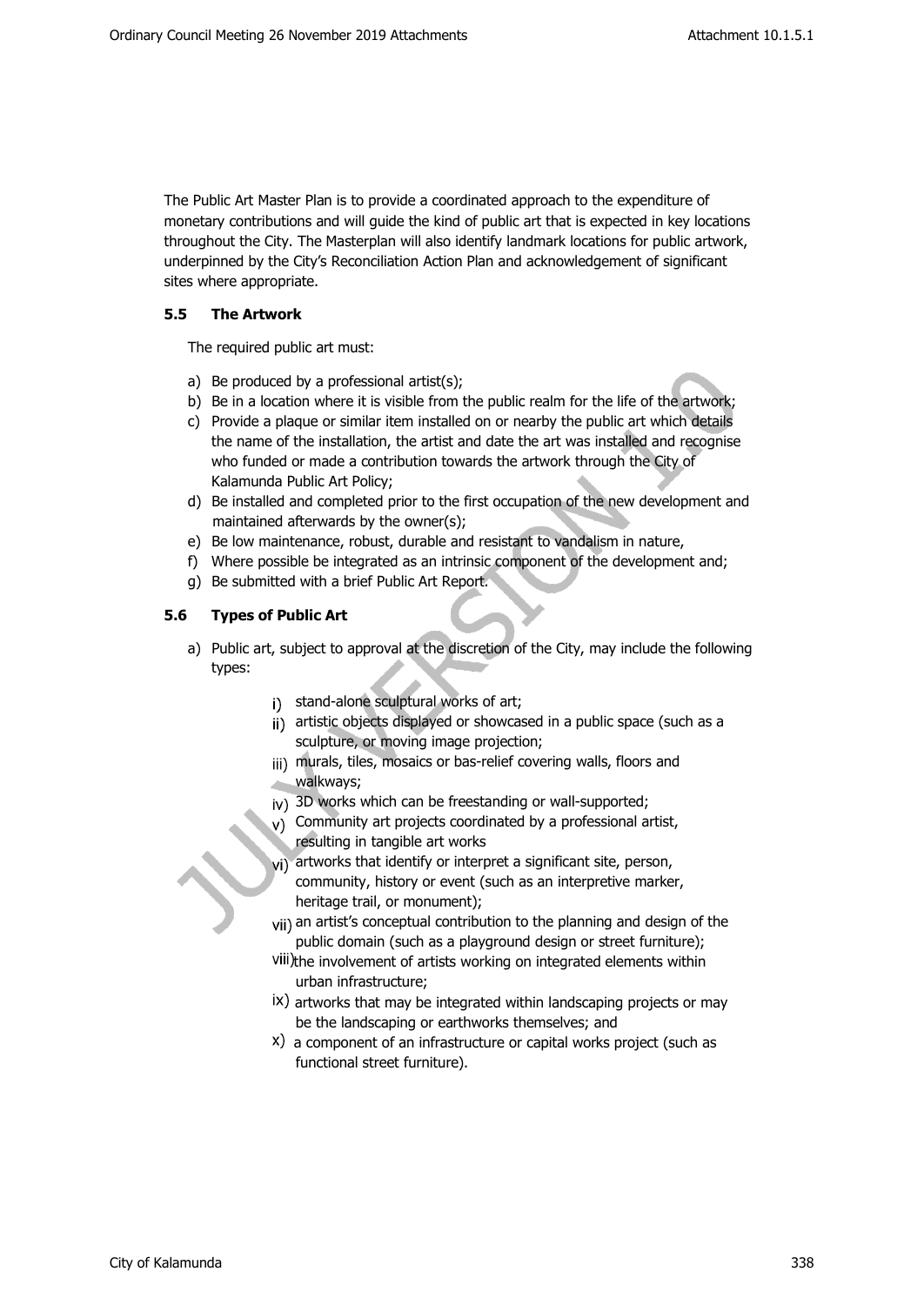The Public Art Master Plan is to provide a coordinated approach to the expenditure of monetary contributions and will guide the kind of public art that is expected in key locations throughout the City. The Masterplan will also identify landmark locations for public artwork, underpinned by the City's Reconciliation Action Plan and acknowledgement of significant sites where appropriate.

# **5.5 The Artwork**

The required public art must:

- a) Be produced by a professional artist(s);
- b) Be in a location where it is visible from the public realm for the life of the artwork;
- c) Provide a plaque or similar item installed on or nearby the public art which details the name of the installation, the artist and date the art was installed and recognise who funded or made a contribution towards the artwork through the City of Kalamunda Public Art Policy;
- d) Be installed and completed prior to the first occupation of the new development and maintained afterwards by the owner(s);
- e) Be low maintenance, robust, durable and resistant to vandalism in nature,
- f) Where possible be integrated as an intrinsic component of the development and;
- g) Be submitted with a brief Public Art Report.

# **5.6 Types of Public Art**

- a) Public art, subject to approval at the discretion of the City, may include the following types:
	- i) stand-alone sculptural works of art;
	- ji) artistic objects displayed or showcased in a public space (such as a sculpture, or moving image projection;
	- jij) murals, tiles, mosaics or bas-relief covering walls, floors and walkways;
	- 3D works which can be freestanding or wall-supported;
	- $v$ ) Community art projects coordinated by a professional artist, resulting in tangible art works
	- vi) artworks that identify or interpret a significant site, person, community, history or event (such as an interpretive marker, heritage trail, or monument);
	- vii) an artist's conceptual contribution to the planning and design of the public domain (such as a playground design or street furniture);
	- viii)the involvement of artists working on integrated elements within urban infrastructure;
	- $\dot{x}$ ) artworks that may be integrated within landscaping projects or may be the landscaping or earthworks themselves; and
	- a component of an infrastructure or capital works project (such as functional street furniture).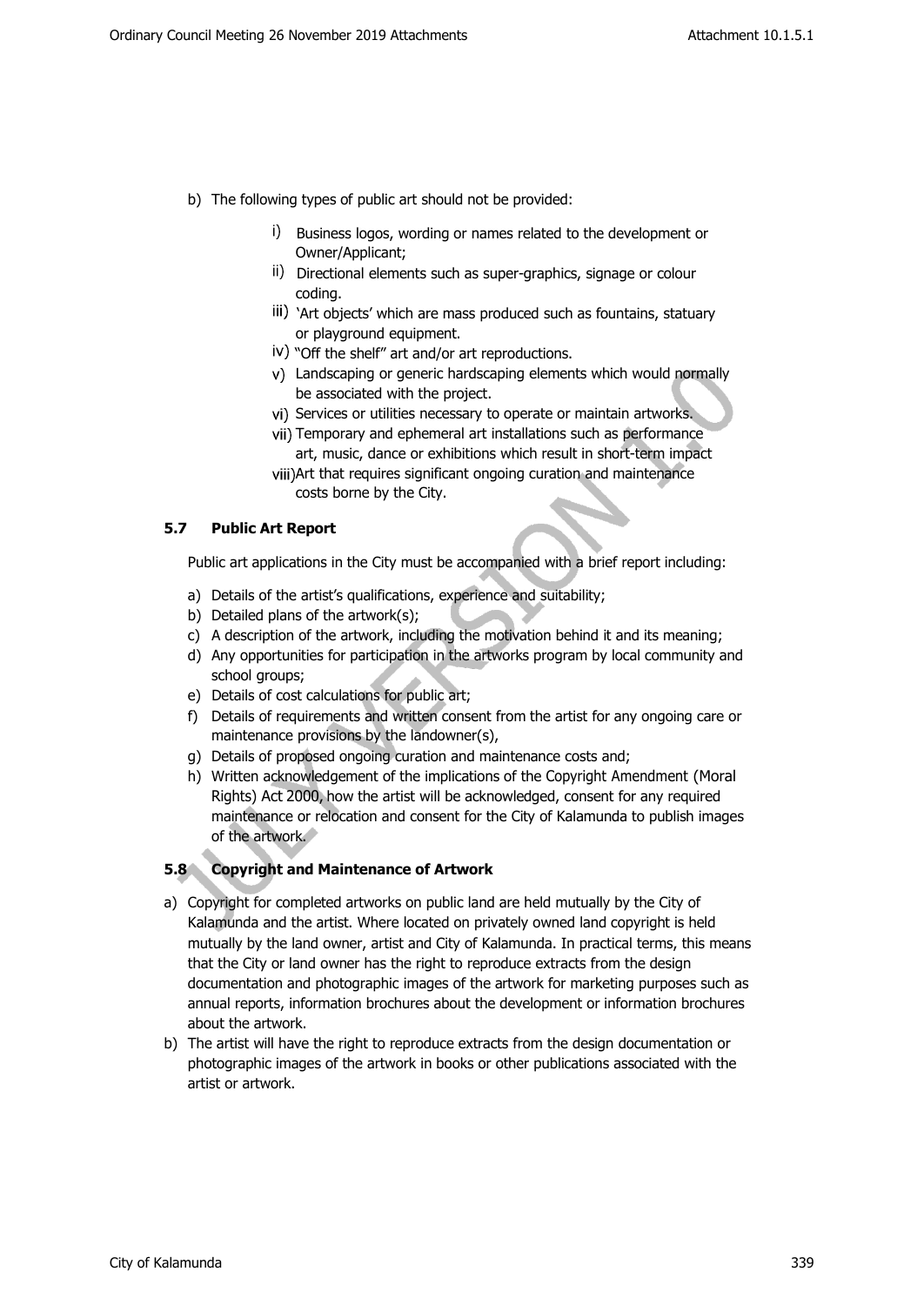- b) The following types of public art should not be provided:
	- i) Business logos, wording or names related to the development or Owner/Applicant;
	- ii) Directional elements such as super-graphics, signage or colour coding.
	- iii) 'Art objects' which are mass produced such as fountains, statuary or playground equipment.
	- $\dot{N}$ ) "Off the shelf" art and/or art reproductions.
	- Landscaping or generic hardscaping elements which would normally be associated with the project.
	- vi) Services or utilities necessary to operate or maintain artworks.
	- vii) Temporary and ephemeral art installations such as performance art, music, dance or exhibitions which result in short-term impact
	- viii) Art that requires significant ongoing curation and maintenance costs borne by the City.

#### **5.7 Public Art Report**

Public art applications in the City must be accompanied with a brief report including:

- a) Details of the artist's qualifications, experience and suitability;
- b) Detailed plans of the artwork(s);
- c) A description of the artwork, including the motivation behind it and its meaning;
- d) Any opportunities for participation in the artworks program by local community and school groups;
- e) Details of cost calculations for public art;
- f) Details of requirements and written consent from the artist for any ongoing care or maintenance provisions by the landowner(s),
- g) Details of proposed ongoing curation and maintenance costs and;
- h) Written acknowledgement of the implications of the Copyright Amendment (Moral Rights) Act 2000, how the artist will be acknowledged, consent for any required maintenance or relocation and consent for the City of Kalamunda to publish images of the artwork.

#### **5.8 Copyright and Maintenance of Artwork**

- a) Copyright for completed artworks on public land are held mutually by the City of Kalamunda and the artist. Where located on privately owned land copyright is held mutually by the land owner, artist and City of Kalamunda. In practical terms, this means that the City or land owner has the right to reproduce extracts from the design documentation and photographic images of the artwork for marketing purposes such as annual reports, information brochures about the development or information brochures about the artwork.
- b) The artist will have the right to reproduce extracts from the design documentation or photographic images of the artwork in books or other publications associated with the artist or artwork.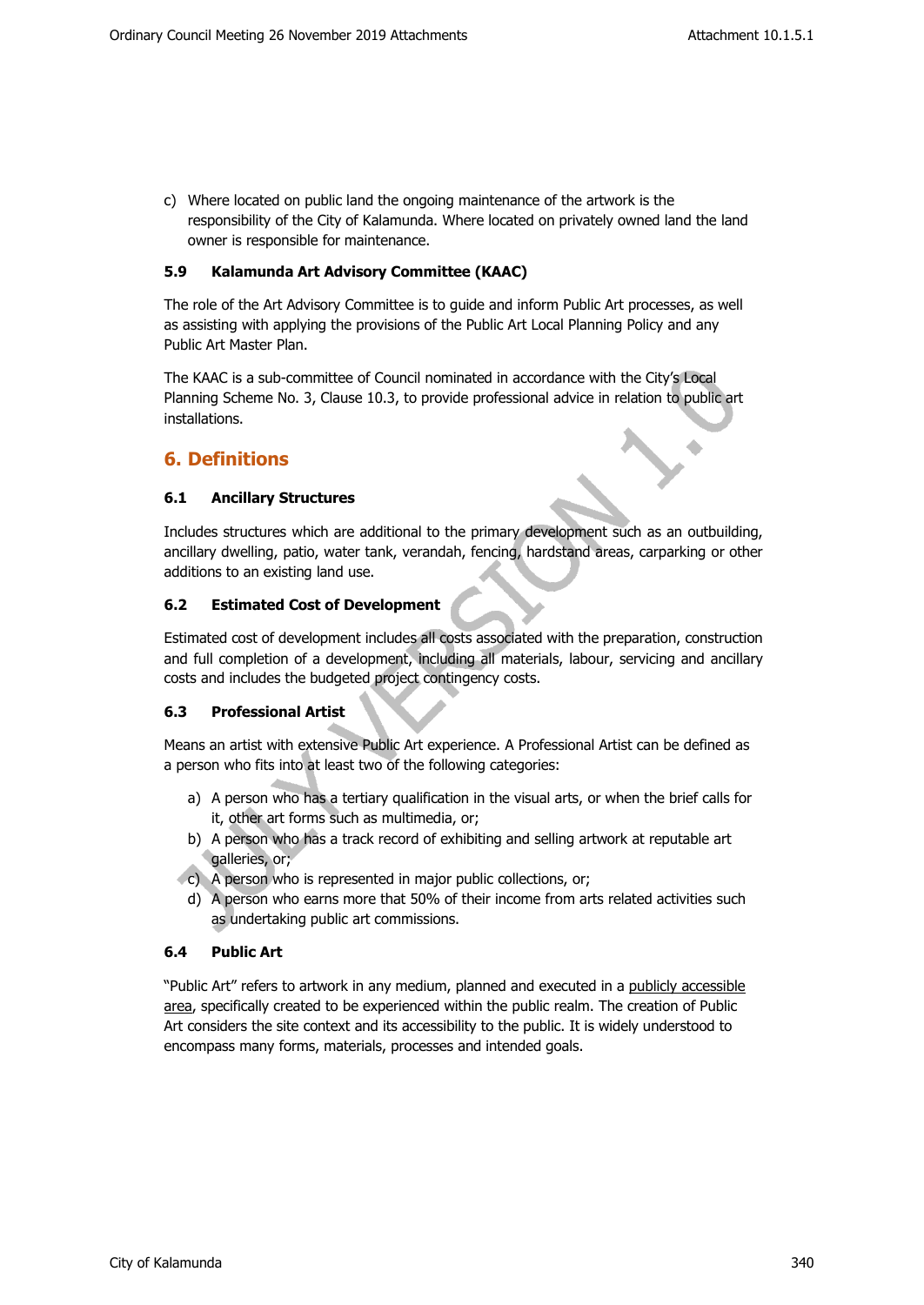c) Where located on public land the ongoing maintenance of the artwork is the responsibility of the City of Kalamunda. Where located on privately owned land the land owner is responsible for maintenance.

# **5.9 Kalamunda Art Advisory Committee (KAAC)**

The role of the Art Advisory Committee is to guide and inform Public Art processes, as well as assisting with applying the provisions of the Public Art Local Planning Policy and any Public Art Master Plan.

The KAAC is a sub-committee of Council nominated in accordance with the City's Local Planning Scheme No. 3, Clause 10.3, to provide professional advice in relation to public art installations.

# **6. Definitions**

# **6.1 Ancillary Structures**

Includes structures which are additional to the primary development such as an outbuilding, ancillary dwelling, patio, water tank, verandah, fencing, hardstand areas, carparking or other additions to an existing land use.

# **6.2 Estimated Cost of Development**

Estimated cost of development includes all costs associated with the preparation, construction and full completion of a development, including all materials, labour, servicing and ancillary costs and includes the budgeted project contingency costs.

#### **6.3 Professional Artist**

Means an artist with extensive Public Art experience. A Professional Artist can be defined as a person who fits into at least two of the following categories:

- a) A person who has a tertiary qualification in the visual arts, or when the brief calls for it, other art forms such as multimedia, or;
- b) A person who has a track record of exhibiting and selling artwork at reputable art galleries, or;
- c) A person who is represented in major public collections, or;
	- d) A person who earns more that 50% of their income from arts related activities such as undertaking public art commissions.

# **6.4 Public Art**

"Public Art" refers to artwork in any medium, planned and executed in a publicly accessible area, specifically created to be experienced within the public realm. The creation of Public Art considers the site context and its accessibility to the public. It is widely understood to encompass many forms, materials, processes and intended goals.